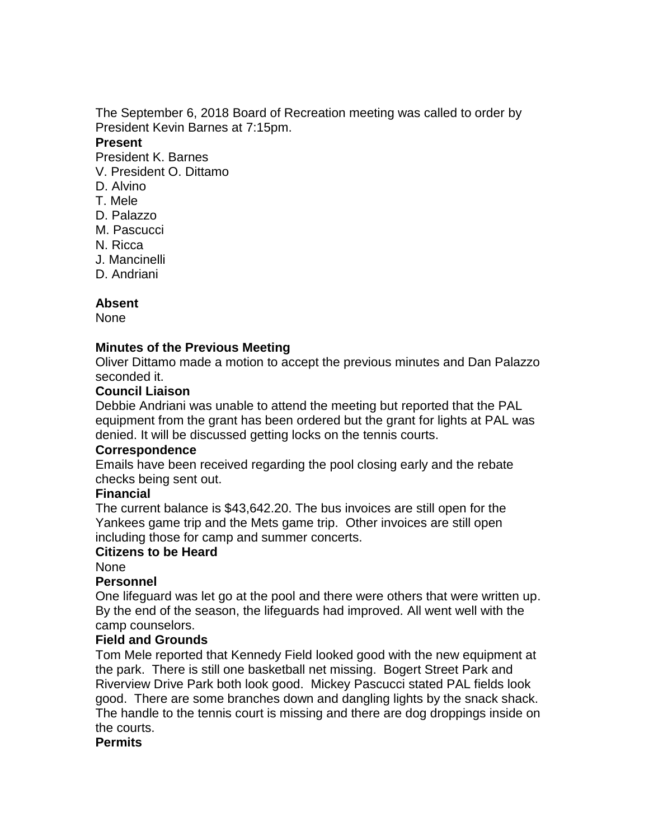The September 6, 2018 Board of Recreation meeting was called to order by President Kevin Barnes at 7:15pm.

#### **Present**

President K. Barnes

- V. President O. Dittamo
- D. Alvino
- T. Mele
- D. Palazzo
- M. Pascucci
- N. Ricca
- J. Mancinelli
- D. Andriani

# **Absent**

None

## **Minutes of the Previous Meeting**

Oliver Dittamo made a motion to accept the previous minutes and Dan Palazzo seconded it.

## **Council Liaison**

Debbie Andriani was unable to attend the meeting but reported that the PAL equipment from the grant has been ordered but the grant for lights at PAL was denied. It will be discussed getting locks on the tennis courts.

## **Correspondence**

Emails have been received regarding the pool closing early and the rebate checks being sent out.

## **Financial**

The current balance is \$43,642.20. The bus invoices are still open for the Yankees game trip and the Mets game trip. Other invoices are still open including those for camp and summer concerts.

## **Citizens to be Heard**

None

## **Personnel**

One lifeguard was let go at the pool and there were others that were written up. By the end of the season, the lifeguards had improved. All went well with the camp counselors.

# **Field and Grounds**

Tom Mele reported that Kennedy Field looked good with the new equipment at the park. There is still one basketball net missing. Bogert Street Park and Riverview Drive Park both look good. Mickey Pascucci stated PAL fields look good. There are some branches down and dangling lights by the snack shack. The handle to the tennis court is missing and there are dog droppings inside on the courts.

## **Permits**